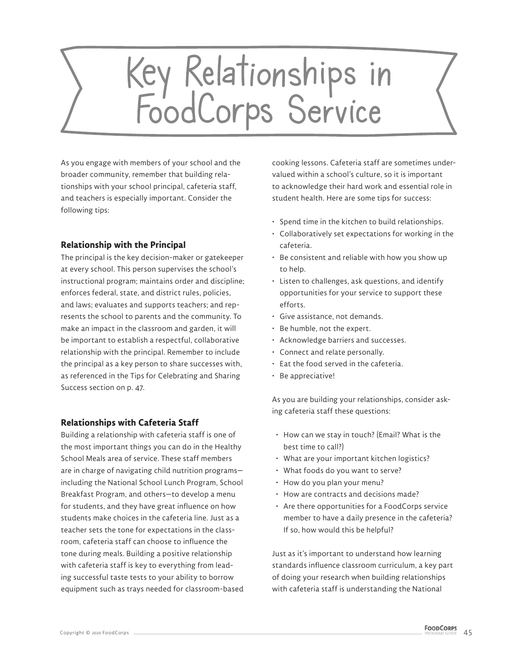## Key Relationships in<br>FoodCorps Service

As you engage with members of your school and the broader community, remember that building relationships with your school principal, cafeteria staff, and teachers is especially important. Consider the following tips:

## **Relationship with the Principal**

The principal is the key decision-maker or gatekeeper at every school. This person supervises the school's instructional program; maintains order and discipline; enforces federal, state, and district rules, policies, and laws; evaluates and supports teachers; and represents the school to parents and the community. To make an impact in the classroom and garden, it will be important to establish a respectful, collaborative relationship with the principal. Remember to include the principal as a key person to share successes with, as referenced in the Tips for Celebrating and Sharing Success section on p. 47.

## **Relationships with Cafeteria Staff**

Building a relationship with cafeteria staff is one of the most important things you can do in the Healthy School Meals area of service. These staff members are in charge of navigating child nutrition programs including the National School Lunch Program, School Breakfast Program, and others—to develop a menu for students, and they have great influence on how students make choices in the cafeteria line. Just as a teacher sets the tone for expectations in the classroom, cafeteria staff can choose to influence the tone during meals. Building a positive relationship with cafeteria staff is key to everything from leading successful taste tests to your ability to borrow equipment such as trays needed for classroom-based cooking lessons. Cafeteria staff are sometimes undervalued within a school's culture, so it is important to acknowledge their hard work and essential role in student health. Here are some tips for success:

- Spend time in the kitchen to build relationships.
- Collaboratively set expectations for working in the cafeteria.
- Be consistent and reliable with how you show up to help.
- Listen to challenges, ask questions, and identify opportunities for your service to support these efforts.
- Give assistance, not demands.
- Be humble, not the expert.
- Acknowledge barriers and successes.
- Connect and relate personally.
- Eat the food served in the cafeteria.
- Be appreciative!

As you are building your relationships, consider asking cafeteria staff these questions:

- How can we stay in touch? (Email? What is the best time to call?)
- What are your important kitchen logistics?
- What foods do you want to serve?
- How do you plan your menu?
- How are contracts and decisions made?
- Are there opportunities for a FoodCorps service member to have a daily presence in the cafeteria? If so, how would this be helpful?

Just as it's important to understand how learning standards influence classroom curriculum, a key part of doing your research when building relationships with cafeteria staff is understanding the National